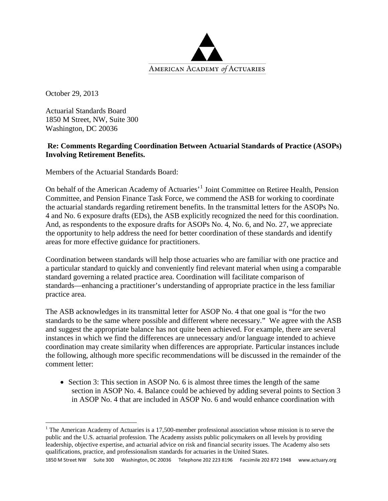

October 29, 2013

Actuarial Standards Board 1850 M Street, NW, Suite 300 Washington, DC 20036

## **Re: Comments Regarding Coordination Between Actuarial Standards of Practice (ASOPs) Involving Retirement Benefits.**

Members of the Actuarial Standards Board:

On behalf of the American Academy of Actuaries'[1](#page-0-0) Joint Committee on Retiree Health, Pension Committee, and Pension Finance Task Force, we commend the ASB for working to coordinate the actuarial standards regarding retirement benefits. In the transmittal letters for the ASOPs No. 4 and No. 6 exposure drafts (EDs), the ASB explicitly recognized the need for this coordination. And, as respondents to the exposure drafts for ASOPs No. 4, No. 6, and No. 27, we appreciate the opportunity to help address the need for better coordination of these standards and identify areas for more effective guidance for practitioners.

Coordination between standards will help those actuaries who are familiar with one practice and a particular standard to quickly and conveniently find relevant material when using a comparable standard governing a related practice area. Coordination will facilitate comparison of standards—enhancing a practitioner's understanding of appropriate practice in the less familiar practice area.

The ASB acknowledges in its transmittal letter for ASOP No. 4 that one goal is "for the two standards to be the same where possible and different where necessary." We agree with the ASB and suggest the appropriate balance has not quite been achieved. For example, there are several instances in which we find the differences are unnecessary and/or language intended to achieve coordination may create similarity when differences are appropriate. Particular instances include the following, although more specific recommendations will be discussed in the remainder of the comment letter:

• Section 3: This section in ASOP No. 6 is almost three times the length of the same section in ASOP No. 4. Balance could be achieved by adding several points to Section 3 in ASOP No. 4 that are included in ASOP No. 6 and would enhance coordination with

1850 M Street NW Suite 300 Washington, DC 20036 Telephone 202 223 8196 Facsimile 202 872 1948 www.actuary.org

<span id="page-0-0"></span><sup>&</sup>lt;sup>1</sup> The American Academy of Actuaries is a 17,500-member professional association whose mission is to serve the public and the U.S. actuarial profession. The Academy assists public policymakers on all levels by providing leadership, objective expertise, and actuarial advice on risk and financial security issues. The Academy also sets qualifications, practice, and professionalism standards for actuaries in the United States.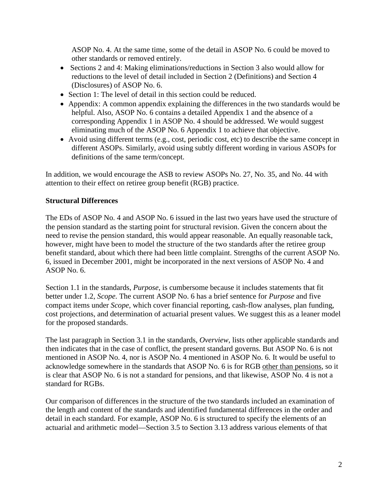ASOP No. 4. At the same time, some of the detail in ASOP No. 6 could be moved to other standards or removed entirely.

- Sections 2 and 4: Making eliminations/reductions in Section 3 also would allow for reductions to the level of detail included in Section 2 (Definitions) and Section 4 (Disclosures) of ASOP No. 6.
- Section 1: The level of detail in this section could be reduced.
- Appendix: A common appendix explaining the differences in the two standards would be helpful. Also, ASOP No. 6 contains a detailed Appendix 1 and the absence of a corresponding Appendix 1 in ASOP No. 4 should be addressed. We would suggest eliminating much of the ASOP No. 6 Appendix 1 to achieve that objective.
- Avoid using different terms (e.g., cost, periodic cost, etc) to describe the same concept in different ASOPs. Similarly, avoid using subtly different wording in various ASOPs for definitions of the same term/concept.

In addition, we would encourage the ASB to review ASOPs No. 27, No. 35, and No. 44 with attention to their effect on retiree group benefit (RGB) practice.

## **Structural Differences**

The EDs of ASOP No. 4 and ASOP No. 6 issued in the last two years have used the structure of the pension standard as the starting point for structural revision. Given the concern about the need to revise the pension standard, this would appear reasonable. An equally reasonable tack, however, might have been to model the structure of the two standards after the retiree group benefit standard, about which there had been little complaint. Strengths of the current ASOP No. 6, issued in December 2001, might be incorporated in the next versions of ASOP No. 4 and ASOP No. 6.

Section 1.1 in the standards, *Purpose*, is cumbersome because it includes statements that fit better under 1.2, *Scope*. The current ASOP No. 6 has a brief sentence for *Purpose* and five compact items under *Scope*, which cover financial reporting, cash-flow analyses, plan funding, cost projections, and determination of actuarial present values. We suggest this as a leaner model for the proposed standards.

The last paragraph in Section 3.1 in the standards, *Overview*, lists other applicable standards and then indicates that in the case of conflict, the present standard governs. But ASOP No. 6 is not mentioned in ASOP No. 4, nor is ASOP No. 4 mentioned in ASOP No. 6. It would be useful to acknowledge somewhere in the standards that ASOP No. 6 is for RGB other than pensions, so it is clear that ASOP No. 6 is not a standard for pensions, and that likewise, ASOP No. 4 is not a standard for RGBs.

Our comparison of differences in the structure of the two standards included an examination of the length and content of the standards and identified fundamental differences in the order and detail in each standard. For example, ASOP No. 6 is structured to specify the elements of an actuarial and arithmetic model—Section 3.5 to Section 3.13 address various elements of that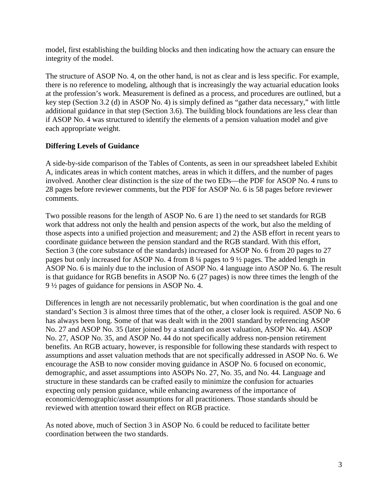model, first establishing the building blocks and then indicating how the actuary can ensure the integrity of the model.

The structure of ASOP No. 4, on the other hand, is not as clear and is less specific. For example, there is no reference to modeling, although that is increasingly the way actuarial education looks at the profession's work. Measurement is defined as a process, and procedures are outlined, but a key step (Section 3.2 (d) in ASOP No. 4) is simply defined as "gather data necessary," with little additional guidance in that step (Section 3.6). The building block foundations are less clear than if ASOP No. 4 was structured to identify the elements of a pension valuation model and give each appropriate weight.

## **Differing Levels of Guidance**

A side-by-side comparison of the Tables of Contents, as seen in our spreadsheet labeled Exhibit A, indicates areas in which content matches, areas in which it differs, and the number of pages involved. Another clear distinction is the size of the two EDs—the PDF for ASOP No. 4 runs to 28 pages before reviewer comments, but the PDF for ASOP No. 6 is 58 pages before reviewer comments.

Two possible reasons for the length of ASOP No. 6 are 1) the need to set standards for RGB work that address not only the health and pension aspects of the work, but also the melding of those aspects into a unified projection and measurement; and 2) the ASB effort in recent years to coordinate guidance between the pension standard and the RGB standard. With this effort, Section 3 (the core substance of the standards) increased for ASOP No. 6 from 20 pages to 27 pages but only increased for ASOP No. 4 from 8 ¼ pages to 9 ½ pages. The added length in ASOP No. 6 is mainly due to the inclusion of ASOP No. 4 language into ASOP No. 6. The result is that guidance for RGB benefits in ASOP No. 6 (27 pages) is now three times the length of the 9 ½ pages of guidance for pensions in ASOP No. 4.

Differences in length are not necessarily problematic, but when coordination is the goal and one standard's Section 3 is almost three times that of the other, a closer look is required. ASOP No. 6 has always been long. Some of that was dealt with in the 2001 standard by referencing ASOP No. 27 and ASOP No. 35 (later joined by a standard on asset valuation, ASOP No. 44). ASOP No. 27, ASOP No. 35, and ASOP No. 44 do not specifically address non-pension retirement benefits. An RGB actuary, however, is responsible for following these standards with respect to assumptions and asset valuation methods that are not specifically addressed in ASOP No. 6. We encourage the ASB to now consider moving guidance in ASOP No. 6 focused on economic, demographic, and asset assumptions into ASOPs No. 27, No. 35, and No. 44. Language and structure in these standards can be crafted easily to minimize the confusion for actuaries expecting only pension guidance, while enhancing awareness of the importance of economic/demographic/asset assumptions for all practitioners. Those standards should be reviewed with attention toward their effect on RGB practice.

As noted above, much of Section 3 in ASOP No. 6 could be reduced to facilitate better coordination between the two standards.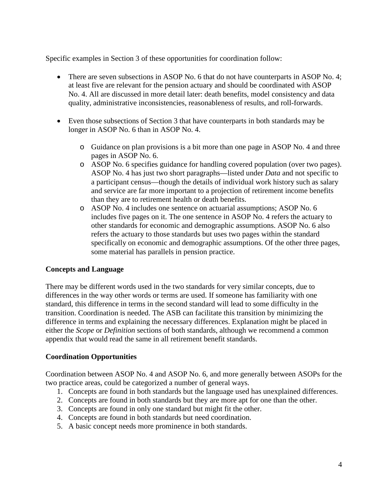Specific examples in Section 3 of these opportunities for coordination follow:

- There are seven subsections in ASOP No. 6 that do not have counterparts in ASOP No. 4; at least five are relevant for the pension actuary and should be coordinated with ASOP No. 4. All are discussed in more detail later: death benefits, model consistency and data quality, administrative inconsistencies, reasonableness of results, and roll-forwards.
- Even those subsections of Section 3 that have counterparts in both standards may be longer in ASOP No. 6 than in ASOP No. 4.
	- o Guidance on plan provisions is a bit more than one page in ASOP No. 4 and three pages in ASOP No. 6.
	- o ASOP No. 6 specifies guidance for handling covered population (over two pages). ASOP No. 4 has just two short paragraphs—listed under *Data* and not specific to a participant census—though the details of individual work history such as salary and service are far more important to a projection of retirement income benefits than they are to retirement health or death benefits.
	- o ASOP No. 4 includes one sentence on actuarial assumptions; ASOP No. 6 includes five pages on it. The one sentence in ASOP No. 4 refers the actuary to other standards for economic and demographic assumptions. ASOP No. 6 also refers the actuary to those standards but uses two pages within the standard specifically on economic and demographic assumptions. Of the other three pages, some material has parallels in pension practice.

## **Concepts and Language**

There may be different words used in the two standards for very similar concepts, due to differences in the way other words or terms are used. If someone has familiarity with one standard, this difference in terms in the second standard will lead to some difficulty in the transition. Coordination is needed. The ASB can facilitate this transition by minimizing the difference in terms and explaining the necessary differences. Explanation might be placed in either the *Scope* or *Definition* sections of both standards, although we recommend a common appendix that would read the same in all retirement benefit standards.

## **Coordination Opportunities**

Coordination between ASOP No. 4 and ASOP No. 6, and more generally between ASOPs for the two practice areas, could be categorized a number of general ways.

- 1. Concepts are found in both standards but the language used has unexplained differences.
- 2. Concepts are found in both standards but they are more apt for one than the other.
- 3. Concepts are found in only one standard but might fit the other.
- 4. Concepts are found in both standards but need coordination.
- 5. A basic concept needs more prominence in both standards.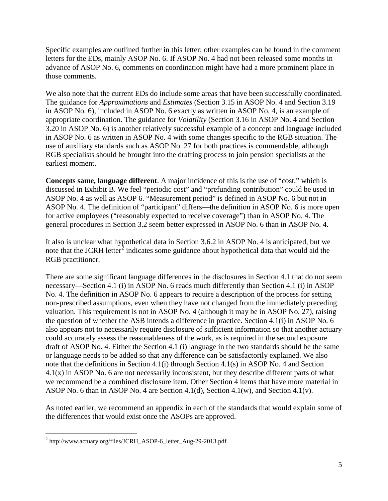Specific examples are outlined further in this letter; other examples can be found in the comment letters for the EDs, mainly ASOP No. 6. If ASOP No. 4 had not been released some months in advance of ASOP No. 6, comments on coordination might have had a more prominent place in those comments.

We also note that the current EDs do include some areas that have been successfully coordinated. The guidance for *Approximations* and *Estimates* (Section 3.15 in ASOP No. 4 and Section 3.19 in ASOP No. 6), included in ASOP No. 6 exactly as written in ASOP No. 4, is an example of appropriate coordination. The guidance for *Volatility* (Section 3.16 in ASOP No. 4 and Section 3.20 in ASOP No. 6) is another relatively successful example of a concept and language included in ASOP No. 6 as written in ASOP No. 4 with some changes specific to the RGB situation. The use of auxiliary standards such as ASOP No. 27 for both practices is commendable, although RGB specialists should be brought into the drafting process to join pension specialists at the earliest moment.

**Concepts same, language different**. A major incidence of this is the use of "cost," which is discussed in Exhibit B. We feel "periodic cost" and "prefunding contribution" could be used in ASOP No. 4 as well as ASOP 6. "Measurement period" is defined in ASOP No. 6 but not in ASOP No. 4. The definition of "participant" differs—the definition in ASOP No. 6 is more open for active employees ("reasonably expected to receive coverage") than in ASOP No. 4. The general procedures in Section 3.2 seem better expressed in ASOP No. 6 than in ASOP No. 4.

It also is unclear what hypothetical data in Section 3.6.2 in ASOP No. 4 is anticipated, but we note that the JCRH letter<sup>[2](#page-4-0)</sup> indicates some guidance about hypothetical data that would aid the RGB practitioner.

There are some significant language differences in the disclosures in Section 4.1 that do not seem necessary—Section 4.1 (i) in ASOP No. 6 reads much differently than Section 4.1 (i) in ASOP No. 4. The definition in ASOP No. 6 appears to require a description of the process for setting non-prescribed assumptions, even when they have not changed from the immediately preceding valuation. This requirement is not in ASOP No. 4 (although it may be in ASOP No. 27), raising the question of whether the ASB intends a difference in practice. Section 4.1(i) in ASOP No. 6 also appears not to necessarily require disclosure of sufficient information so that another actuary could accurately assess the reasonableness of the work, as is required in the second exposure draft of ASOP No. 4. Either the Section 4.1 (i) language in the two standards should be the same or language needs to be added so that any difference can be satisfactorily explained. We also note that the definitions in Section 4.1(i) through Section 4.1(s) in ASOP No. 4 and Section 4.1(x) in ASOP No. 6 are not necessarily inconsistent, but they describe different parts of what we recommend be a combined disclosure item. Other Section 4 items that have more material in ASOP No. 6 than in ASOP No. 4 are Section 4.1(d), Section 4.1(w), and Section 4.1(v).

As noted earlier, we recommend an appendix in each of the standards that would explain some of the differences that would exist once the ASOPs are approved.

<span id="page-4-0"></span><sup>&</sup>lt;sup>2</sup> http://www.actuary.org/files/JCRH\_ASOP-6\_letter\_Aug-29-2013.pdf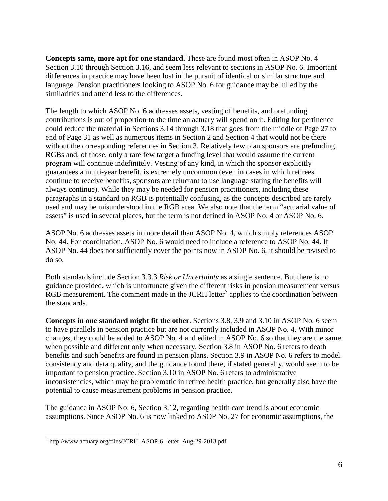**Concepts same, more apt for one standard.** These are found most often in ASOP No. 4 Section 3.10 through Section 3.16, and seem less relevant to sections in ASOP No. 6. Important differences in practice may have been lost in the pursuit of identical or similar structure and language. Pension practitioners looking to ASOP No. 6 for guidance may be lulled by the similarities and attend less to the differences.

The length to which ASOP No. 6 addresses assets, vesting of benefits, and prefunding contributions is out of proportion to the time an actuary will spend on it. Editing for pertinence could reduce the material in Sections 3.14 through 3.18 that goes from the middle of Page 27 to end of Page 31 as well as numerous items in Section 2 and Section 4 that would not be there without the corresponding references in Section 3. Relatively few plan sponsors are prefunding RGBs and, of those, only a rare few target a funding level that would assume the current program will continue indefinitely. Vesting of any kind, in which the sponsor explicitly guarantees a multi-year benefit, is extremely uncommon (even in cases in which retirees continue to receive benefits, sponsors are reluctant to use language stating the benefits will always continue). While they may be needed for pension practitioners, including these paragraphs in a standard on RGB is potentially confusing, as the concepts described are rarely used and may be misunderstood in the RGB area. We also note that the term "actuarial value of assets" is used in several places, but the term is not defined in ASOP No. 4 or ASOP No. 6.

ASOP No. 6 addresses assets in more detail than ASOP No. 4, which simply references ASOP No. 44. For coordination, ASOP No. 6 would need to include a reference to ASOP No. 44. If ASOP No. 44 does not sufficiently cover the points now in ASOP No. 6, it should be revised to do so.

Both standards include Section 3.3.3 *Risk or Uncertainty* as a single sentence. But there is no guidance provided, which is unfortunate given the different risks in pension measurement versus RGB measurement. The comment made in the JCRH letter<sup>[3](#page-5-0)</sup> applies to the coordination between the standards.

**Concepts in one standard might fit the other**. Sections 3.8, 3.9 and 3.10 in ASOP No. 6 seem to have parallels in pension practice but are not currently included in ASOP No. 4. With minor changes, they could be added to ASOP No. 4 and edited in ASOP No. 6 so that they are the same when possible and different only when necessary. Section 3.8 in ASOP No. 6 refers to death benefits and such benefits are found in pension plans. Section 3.9 in ASOP No. 6 refers to model consistency and data quality, and the guidance found there, if stated generally, would seem to be important to pension practice. Section 3.10 in ASOP No. 6 refers to administrative inconsistencies, which may be problematic in retiree health practice, but generally also have the potential to cause measurement problems in pension practice.

The guidance in ASOP No. 6, Section 3.12, regarding health care trend is about economic assumptions. Since ASOP No. 6 is now linked to ASOP No. 27 for economic assumptions, the

<span id="page-5-0"></span><sup>&</sup>lt;sup>3</sup> http://www.actuary.org/files/JCRH\_ASOP-6\_letter\_Aug-29-2013.pdf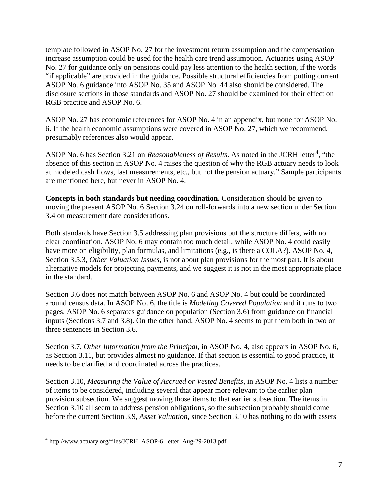template followed in ASOP No. 27 for the investment return assumption and the compensation increase assumption could be used for the health care trend assumption. Actuaries using ASOP No. 27 for guidance only on pensions could pay less attention to the health section, if the words "if applicable" are provided in the guidance. Possible structural efficiencies from putting current ASOP No. 6 guidance into ASOP No. 35 and ASOP No. 44 also should be considered. The disclosure sections in those standards and ASOP No. 27 should be examined for their effect on RGB practice and ASOP No. 6.

ASOP No. 27 has economic references for ASOP No. 4 in an appendix, but none for ASOP No. 6. If the health economic assumptions were covered in ASOP No. 27, which we recommend, presumably references also would appear.

ASOP No. 6 has Section 3.21 on *Reasonableness of Results*. As noted in the JCRH letter<sup>[4](#page-6-0)</sup>, "the absence of this section in ASOP No. 4 raises the question of why the RGB actuary needs to look at modeled cash flows, last measurements, etc., but not the pension actuary." Sample participants are mentioned here, but never in ASOP No. 4.

**Concepts in both standards but needing coordination.** Consideration should be given to moving the present ASOP No. 6 Section 3.24 on roll-forwards into a new section under Section 3.4 on measurement date considerations.

Both standards have Section 3.5 addressing plan provisions but the structure differs, with no clear coordination. ASOP No. 6 may contain too much detail, while ASOP No. 4 could easily have more on eligibility, plan formulas, and limitations (e.g., is there a COLA?). ASOP No. 4, Section 3.5.3, *Other Valuation Issues*, is not about plan provisions for the most part. It is about alternative models for projecting payments, and we suggest it is not in the most appropriate place in the standard.

Section 3.6 does not match between ASOP No. 6 and ASOP No. 4 but could be coordinated around census data. In ASOP No. 6, the title is *Modeling Covered Population* and it runs to two pages. ASOP No. 6 separates guidance on population (Section 3.6) from guidance on financial inputs (Sections 3.7 and 3.8). On the other hand, ASOP No. 4 seems to put them both in two or three sentences in Section 3.6.

Section 3.7, *Other Information from the Principal,* in ASOP No. 4, also appears in ASOP No. 6, as Section 3.11, but provides almost no guidance. If that section is essential to good practice, it needs to be clarified and coordinated across the practices.

Section 3.10, *Measuring the Value of Accrued or Vested Benefits*, in ASOP No. 4 lists a number of items to be considered, including several that appear more relevant to the earlier plan provision subsection. We suggest moving those items to that earlier subsection. The items in Section 3.10 all seem to address pension obligations, so the subsection probably should come before the current Section 3.9, *Asset Valuation*, since Section 3.10 has nothing to do with assets

<span id="page-6-0"></span><sup>4</sup> http://www.actuary.org/files/JCRH\_ASOP-6\_letter\_Aug-29-2013.pdf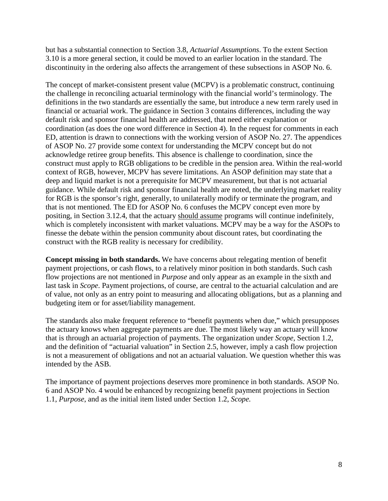but has a substantial connection to Section 3.8, *Actuarial Assumptions*. To the extent Section 3.10 is a more general section, it could be moved to an earlier location in the standard. The discontinuity in the ordering also affects the arrangement of these subsections in ASOP No. 6.

The concept of market-consistent present value (MCPV) is a problematic construct, continuing the challenge in reconciling actuarial terminology with the financial world's terminology. The definitions in the two standards are essentially the same, but introduce a new term rarely used in financial or actuarial work. The guidance in Section 3 contains differences, including the way default risk and sponsor financial health are addressed, that need either explanation or coordination (as does the one word difference in Section 4). In the request for comments in each ED, attention is drawn to connections with the working version of ASOP No. 27. The appendices of ASOP No. 27 provide some context for understanding the MCPV concept but do not acknowledge retiree group benefits. This absence is challenge to coordination, since the construct must apply to RGB obligations to be credible in the pension area. Within the real-world context of RGB, however, MCPV has severe limitations. An ASOP definition may state that a deep and liquid market is not a prerequisite for MCPV measurement, but that is not actuarial guidance. While default risk and sponsor financial health are noted, the underlying market reality for RGB is the sponsor's right, generally, to unilaterally modify or terminate the program, and that is not mentioned. The ED for ASOP No. 6 confuses the MCPV concept even more by positing, in Section 3.12.4, that the actuary should assume programs will continue indefinitely, which is completely inconsistent with market valuations. MCPV may be a way for the ASOPs to finesse the debate within the pension community about discount rates, but coordinating the construct with the RGB reality is necessary for credibility.

**Concept missing in both standards.** We have concerns about relegating mention of benefit payment projections, or cash flows, to a relatively minor position in both standards. Such cash flow projections are not mentioned in *Purpose* and only appear as an example in the sixth and last task in *Scope*. Payment projections, of course, are central to the actuarial calculation and are of value, not only as an entry point to measuring and allocating obligations, but as a planning and budgeting item or for asset/liability management.

The standards also make frequent reference to "benefit payments when due," which presupposes the actuary knows when aggregate payments are due. The most likely way an actuary will know that is through an actuarial projection of payments. The organization under *Scope,* Section 1.2, and the definition of "actuarial valuation" in Section 2.5, however, imply a cash flow projection is not a measurement of obligations and not an actuarial valuation. We question whether this was intended by the ASB.

The importance of payment projections deserves more prominence in both standards. ASOP No. 6 and ASOP No. 4 would be enhanced by recognizing benefit payment projections in Section 1.1, *Purpose*, and as the initial item listed under Section 1.2, *Scope.*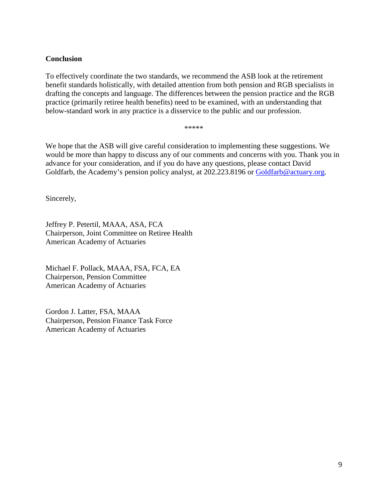## **Conclusion**

To effectively coordinate the two standards, we recommend the ASB look at the retirement benefit standards holistically, with detailed attention from both pension and RGB specialists in drafting the concepts and language. The differences between the pension practice and the RGB practice (primarily retiree health benefits) need to be examined, with an understanding that below-standard work in any practice is a disservice to the public and our profession.

\*\*\*\*\*

We hope that the ASB will give careful consideration to implementing these suggestions. We would be more than happy to discuss any of our comments and concerns with you. Thank you in advance for your consideration, and if you do have any questions, please contact David Goldfarb, the Academy's pension policy analyst, at 202.223.8196 or [Goldfarb@actuary.org.](mailto:Goldfarb@actuary.org)

Sincerely,

Jeffrey P. Petertil, MAAA, ASA, FCA Chairperson, Joint Committee on Retiree Health American Academy of Actuaries

Michael F. Pollack, MAAA, FSA, FCA, EA Chairperson, Pension Committee American Academy of Actuaries

Gordon J. Latter, FSA, MAAA Chairperson, Pension Finance Task Force American Academy of Actuaries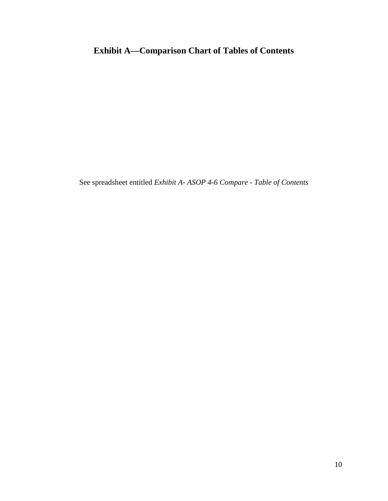# **Exhibit A—Comparison Chart of Tables of Contents**

See spreadsheet entitled *Exhibit A- ASOP 4-6 Compare - Table of Contents*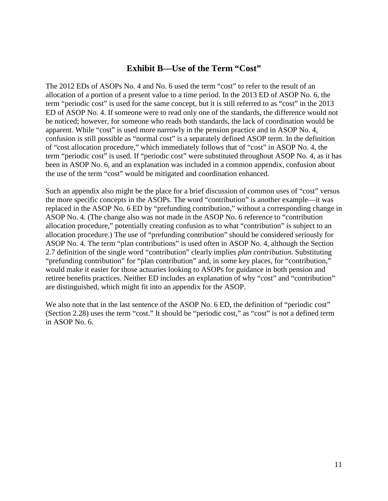## **Exhibit B—Use of the Term "Cost"**

The 2012 EDs of ASOPs No. 4 and No. 6 used the term "cost" to refer to the result of an allocation of a portion of a present value to a time period. In the 2013 ED of ASOP No. 6, the term "periodic cost" is used for the same concept, but it is still referred to as "cost" in the 2013 ED of ASOP No. 4. If someone were to read only one of the standards, the difference would not be noticed; however, for someone who reads both standards, the lack of coordination would be apparent. While "cost" is used more narrowly in the pension practice and in ASOP No. 4, confusion is still possible as "normal cost" is a separately defined ASOP term. In the definition of "cost allocation procedure," which immediately follows that of "cost" in ASOP No. 4, the term "periodic cost" is used. If "periodic cost" were substituted throughout ASOP No. 4, as it has been in ASOP No. 6, and an explanation was included in a common appendix, confusion about the use of the term "cost" would be mitigated and coordination enhanced.

Such an appendix also might be the place for a brief discussion of common uses of "cost" versus the more specific concepts in the ASOPs. The word "contribution" is another example—it was replaced in the ASOP No. 6 ED by "prefunding contribution," without a corresponding change in ASOP No. 4. (The change also was not made in the ASOP No. 6 reference to "contribution allocation procedure," potentially creating confusion as to what "contribution" is subject to an allocation procedure.) The use of "prefunding contribution" should be considered seriously for ASOP No. 4. The term "plan contributions" is used often in ASOP No. 4, although the Section 2.7 definition of the single word "contribution" clearly implies *plan contribution*. Substituting "prefunding contribution" for "plan contribution" and, in some key places, for "contribution," would make it easier for those actuaries looking to ASOPs for guidance in both pension and retiree benefits practices. Neither ED includes an explanation of why "cost" and "contribution" are distinguished, which might fit into an appendix for the ASOP.

We also note that in the last sentence of the ASOP No. 6 ED, the definition of "periodic cost" (Section 2.28) uses the term "cost." It should be "periodic cost," as "cost" is not a defined term in ASOP No. 6.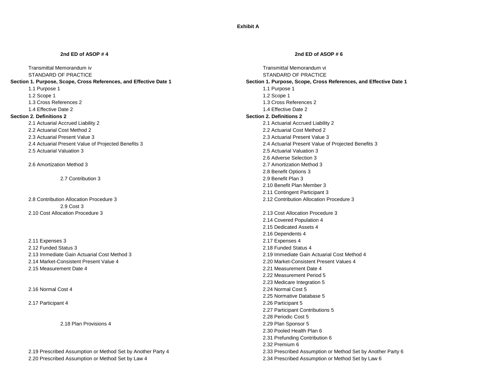**Exhibit A**

### **2nd ED of ASOP # 4 2nd ED of ASOP # 6**

### **Section 1. Purpose, Scope, Cross References, and Effective Date 1 Section 1. Purpose, Scope, Cross References, and Effective Date 1**

1.1 Purpose 1 and the set of the set of the set of the set of the set of the set of the set of the set of the s 1.2 Scope 1 **1.2 Scope 1** 2 Scope 1 **1.2 Scope 1** 2 Scope 1 **1.2 Scope 1** 

### **Section 2. Definitions 2 Section 2. Definitions 2**

2.1 Actuarial Accrued Liability 2 2.1 Actuarial Accrued Liability 2 2.3 Actuarial Present Value 3 2.3 Actuarial Present Value 3 2.5 Actuarial Valuation 3 2.5 Actuarial Valuation 3

2.9 Cost 3 2.10 Cost Allocation Procedure 3 2.13 Cost Allocation Procedure 3

2.11 Expenses 3 2.17 Expenses 4 2.12 Funded Status 3 2.18 Funded Status 4 2.14 Market-Consistent Present Value 4 2.20 Market-Consistent Present Values 4 2.15 Measurement Date 4 2.21 Measurement Date 4

2.20 Prescribed Assumption or Method Set by Law 4 2.34 Prescribed Assumption or Method Set by Law 6

Transmittal Memorandum iv **Transmittal Memorandum iv** Transmittal Memorandum vi<br>
STANDARD OF PRACTICE STANDARD OF PRACTICE 1.3 Cross References 2 1.3 Cross References 2 1.3 Cross References 2 1.3 Cross References 2 1.4 Effective Date 2 1.4 Effective Date 2 **1.4 Effective Date 2** 1.4 Effective Date 2 2.2 Actuarial Cost Method 2 2.2 Actuarial Cost Method 2 2.4 Actuarial Present Value of Projected Benefits 3 2.4 Actuarial Present Value of Projected Benefits 3 2.6 Adverse Selection 3 2.6 Amortization Method 3 2.7 Amortization Method 3 2.8 Benefit Options 3 2.7 Contribution 3 2.9 Benefit Plan 3 2.10 Benefit Plan Member 3 2.11 Contingent Participant 3 2.8 Contribution Allocation Procedure 3 2.12 Contribution Allocation Procedure 3 2.14 Covered Population 4 2.15 Dedicated Assets 4 2.16 Dependents 4 2.13 Immediate Gain Actuarial Cost Method 3 2.19 Immediate Gain Actuarial Cost Method 4 2.22 Measurement Period 5 2.23 Medicare Integration 5 2.16 Normal Cost 4 2.24 Normal Cost 5 2.25 Normative Database 5 2.17 Participant 4 2.26 Participant 5 2.27 Participant Contributions 5 2.28 Periodic Cost 5 2.18 Plan Provisions 4 2.29 Plan Sponsor 5 2.30 Pooled Health Plan 6 2.31 Prefunding Contribution 6 2.32 Premium 6 2.19 Prescribed Assumption or Method Set by Another Party 4 2.33 Prescribed Assumption or Method Set by Another Party 6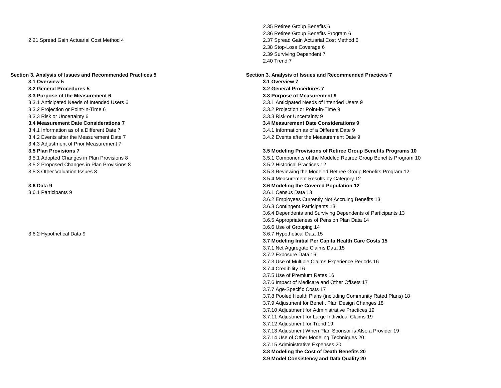**3.1 Overview 5 3.1 Overview 7 3.2 General Procedures 5 3.2 General Procedures 7 3.3 Purpose of the Measurement 6 3.3 Purpose of Measurement 9** 3.3.1 Anticipated Needs of Intended Users 6 3.3.1 Anticipated Needs of Intended Users 9 3.3.2 Projection or Point-in-Time 6 3.3.2 Projection or Point-in-Time 9 3.3.3 Risk or Uncertainty 6 3.3.3 Risk or Uncertainty 9 **3.4 Measurement Date Considerations 7 3.4 Measurement Date Considerations 9** 3.4.2 Events after the Measurement Date 7 3.4.2 Events after the Measurement Date 9 3.4.3 Adjustment of Prior Measurement 7 3.5.2 Proposed Changes in Plan Provisions 8 3.5.2 Historical Practices 12

2.35 Retiree Group Benefits 6 2.36 Retiree Group Benefits Program 6 2.21 Spread Gain Actuarial Cost Method 4 2.37 Spread Gain Actuarial Cost Method 6 2.38 Stop-Loss Coverage 6 2.39 Surviving Dependent 7 2.40 Trend 7

# **Section 3. Analysis of Issues and Recommended Practices 5 Section 3. Analysis of Issues and Recommended Practices 7**

3.4.1 Information as of a Different Date 9

### **3.5 Plan Provisions 7 3.5 Modeling Provisions of Retiree Group Benefits Programs 10**

3.5.1 Adopted Changes in Plan Provisions 8 3.5.1 Components of the Modeled Retiree Group Benefits Program 10 3.5.3 Other Valuation Issues 8 3.5.3 Reviewing the Modeled Retiree Group Benefits Program 12 3.5.4 Measurement Results by Category 12 **3.6 Data 9 3.6 Modeling the Covered Population 12** 3.6.1 Participants 9 3.6.1 Census Data 13 3.6.2 Employees Currently Not Accruing Benefits 13 3.6.3 Contingent Participants 13 3.6.4 Dependents and Surviving Dependents of Participants 13 3.6.5 Appropriateness of Pension Plan Data 14 3.6.6 Use of Grouping 14 3.6.2 Hypothetical Data 9 3.6.7 Hypothetical Data 15 **3.7 Modeling Initial Per Capita Health Care Costs 15** 3.7.1 Net Aggregate Claims Data 15 3.7.2 Exposure Data 16 3.7.3 Use of Multiple Claims Experience Periods 16 3.7.4 Credibility 16 3.7.5 Use of Premium Rates 16 3.7.6 Impact of Medicare and Other Offsets 17 3.7.7 Age-Specific Costs 17 3.7.8 Pooled Health Plans (including Community Rated Plans) 18 3.7.9 Adjustment for Benefit Plan Design Changes 18 3.7.10 Adjustment for Administrative Practices 19 3.7.11 Adjustment for Large Individual Claims 19 3.7.12 Adjustment for Trend 19 3.7.13 Adjustment When Plan Sponsor is Also a Provider 19 3.7.14 Use of Other Modeling Techniques 20 3.7.15 Administrative Expenses 20 **3.8 Modeling the Cost of Death Benefits 20 3.9 Model Consistency and Data Quality 20**